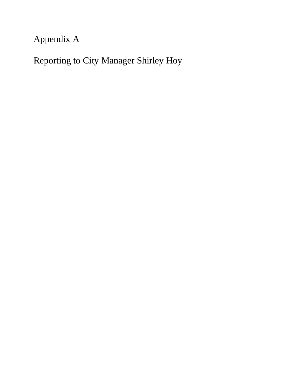# Appendix A

Reporting to City Manager Shirley Hoy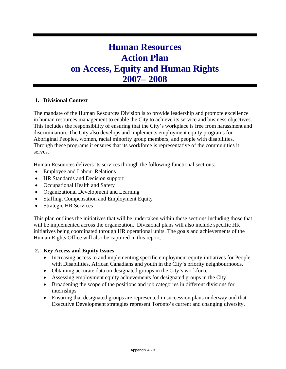## **Human Resources Action Plan on Access, Equity and Human Rights 2007– 2008**

#### **1. Divisional Context**

The mandate of the Human Resources Division is to provide leadership and promote excellence in human resources management to enable the City to achieve its service and business objectives. This includes the responsibility of ensuring that the City's workplace is free from harassment and discrimination. The City also develops and implements employment equity programs for Aboriginal Peoples, women, racial minority group members, and people with disabilities. Through these programs it ensures that its workforce is representative of the communities it serves.

Human Resources delivers its services through the following functional sections:

- Employee and Labour Relations
- HR Standards and Decision support
- Occupational Health and Safety
- Organizational Development and Learning
- Staffing, Compensation and Employment Equity
- Strategic HR Services

This plan outlines the initiatives that will be undertaken within these sections including those that will be implemented across the organization. Divisional plans will also include specific HR initiatives being coordinated through HR operational units. The goals and achievements of the Human Rights Office will also be captured in this report.

#### **2. Key Access and Equity Issues**

- Increasing access to and implementing specific employment equity initiatives for People with Disabilities, African Canadians and youth in the City's priority neighbourhoods.
- Obtaining accurate data on designated groups in the City's workforce
- Assessing employment equity achievements for designated groups in the City
- Broadening the scope of the positions and job categories in different divisions for internships
- Ensuring that designated groups are represented in succession plans underway and that Executive Development strategies represent Toronto's current and changing diversity.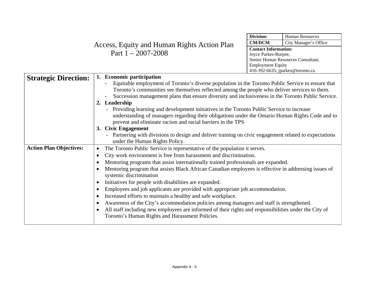| Access, Equity and Human Rights Action Plan<br>Part $1 - 2007 - 2008$ | <b>CM/DCM</b>               | City Manager's Office |
|-----------------------------------------------------------------------|-----------------------------|-----------------------|
|                                                                       | <b>Contact Information:</b> |                       |
|                                                                       | Joyce Parkes-Burpee,        |                       |

| Division:                          | <b>Human Resources</b> |  |
|------------------------------------|------------------------|--|
| <b>CM/DCM</b>                      | City Manager's Office  |  |
| <b>Contact Information:</b>        |                        |  |
| Joyce Parkes-Burpee,               |                        |  |
| Senior Human Resources Consultant, |                        |  |
| <b>Employment Equity</b>           |                        |  |
| 416-392-6635; jparkes@toronto.ca   |                        |  |

| <b>Strategic Direction:</b>                                                                                                                                          | 1. Economic participation                                                                                                                                       |
|----------------------------------------------------------------------------------------------------------------------------------------------------------------------|-----------------------------------------------------------------------------------------------------------------------------------------------------------------|
|                                                                                                                                                                      | Equitable employment of Toronto's diverse population in the Toronto Public Service to ensure that                                                               |
|                                                                                                                                                                      | Toronto's communities see themselves reflected among the people who deliver services to them.                                                                   |
|                                                                                                                                                                      | Succession management plans that ensure diversity and inclusiveness in the Toronto Public Service.                                                              |
|                                                                                                                                                                      | 2. Leadership                                                                                                                                                   |
|                                                                                                                                                                      | - Providing learning and development initiatives in the Toronto Public Service to increase                                                                      |
|                                                                                                                                                                      | understanding of managers regarding their obligations under the Ontario Human Rights Code and to<br>prevent and eliminate racism and racial barriers in the TPS |
|                                                                                                                                                                      | 3. Civic Engagement                                                                                                                                             |
|                                                                                                                                                                      | Partnering with divisions to design and deliver training on civic engagement related to expectations                                                            |
|                                                                                                                                                                      | under the Human Rights Policy.                                                                                                                                  |
| <b>Action Plan Objectives:</b>                                                                                                                                       | The Toronto Public Service is representative of the population it serves.<br>$\bullet$                                                                          |
| City work environment is free from harassment and discrimination.<br>$\bullet$<br>Mentoring programs that assist internationally trained professionals are expanded. |                                                                                                                                                                 |
|                                                                                                                                                                      |                                                                                                                                                                 |
|                                                                                                                                                                      | systemic discrimination                                                                                                                                         |
|                                                                                                                                                                      | Initiatives for people with disabilities are expanded.                                                                                                          |
|                                                                                                                                                                      | Employees and job applicants are provided with appropriate job accommodation.                                                                                   |
|                                                                                                                                                                      | Increased efforts to maintain a healthy and safe workplace.<br>$\bullet$                                                                                        |
|                                                                                                                                                                      | Awareness of the City's accommodation policies among managers and staff is strengthened.                                                                        |
|                                                                                                                                                                      | All staff including new employees are informed of their rights and responsibilities under the City of                                                           |
|                                                                                                                                                                      | Toronto's Human Rights and Harassment Policies.                                                                                                                 |
|                                                                                                                                                                      |                                                                                                                                                                 |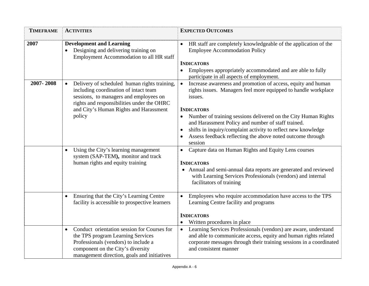| <b>TIMEFRAME</b> | <b>ACTIVITIES</b>                                                                                                                                                                                                                                                                                                                                                              | <b>EXPECTED OUTCOMES</b>                                                                                                                                                                                                                                                                                                                                                                                                                                                                                                                                                                                                                                                 |
|------------------|--------------------------------------------------------------------------------------------------------------------------------------------------------------------------------------------------------------------------------------------------------------------------------------------------------------------------------------------------------------------------------|--------------------------------------------------------------------------------------------------------------------------------------------------------------------------------------------------------------------------------------------------------------------------------------------------------------------------------------------------------------------------------------------------------------------------------------------------------------------------------------------------------------------------------------------------------------------------------------------------------------------------------------------------------------------------|
| 2007             | <b>Development and Learning</b><br>Designing and delivering training on<br>Employment Accommodation to all HR staff                                                                                                                                                                                                                                                            | HR staff are completely knowledgeable of the application of the<br><b>Employee Accommodation Policy</b><br><b>INDICATORS</b><br>Employees appropriately accommodated and are able to fully<br>participate in all aspects of employment.                                                                                                                                                                                                                                                                                                                                                                                                                                  |
| 2007-2008        | Delivery of scheduled human rights training,<br>$\bullet$<br>including coordination of intact team<br>sessions, to managers and employees on<br>rights and responsibilities under the OHRC<br>and City's Human Rights and Harassment<br>policy<br>Using the City's learning management<br>$\bullet$<br>system (SAP-TEM), monitor and track<br>human rights and equity training | Increase awareness and promotion of access, equity and human<br>$\bullet$<br>rights issues. Managers feel more equipped to handle workplace<br>issues.<br><b>INDICATORS</b><br>Number of training sessions delivered on the City Human Rights<br>and Harassment Policy and number of staff trained.<br>shifts in inquiry/complaint activity to reflect new knowledge<br>Assess feedback reflecting the above noted outcome through<br>session<br>Capture data on Human Rights and Equity Lens courses<br><b>INDICATORS</b><br>Annual and semi-annual data reports are generated and reviewed<br>$\bullet$<br>with Learning Services Professionals (vendors) and internal |
|                  |                                                                                                                                                                                                                                                                                                                                                                                | facilitators of training                                                                                                                                                                                                                                                                                                                                                                                                                                                                                                                                                                                                                                                 |
|                  | Ensuring that the City's Learning Centre<br>$\bullet$<br>facility is accessible to prospective learners                                                                                                                                                                                                                                                                        | Employees who require accommodation have access to the TPS<br>$\bullet$<br>Learning Centre facility and programs<br><b>INDICATORS</b>                                                                                                                                                                                                                                                                                                                                                                                                                                                                                                                                    |
|                  |                                                                                                                                                                                                                                                                                                                                                                                | Written procedures in place                                                                                                                                                                                                                                                                                                                                                                                                                                                                                                                                                                                                                                              |
|                  | Conduct orientation session for Courses for<br>$\bullet$<br>the TPS program Learning Services<br>Professionals (vendors) to include a<br>component on the City's diversity<br>management direction, goals and initiatives                                                                                                                                                      | Learning Services Professionals (vendors) are aware, understand<br>and able to communicate access, equity and human rights related<br>corporate messages through their training sessions in a coordinated<br>and consistent manner                                                                                                                                                                                                                                                                                                                                                                                                                                       |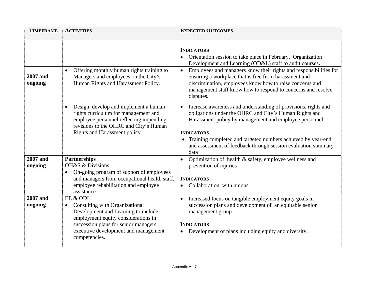| <b>TIMEFRAME</b>           | <b>ACTIVITIES</b>                                                                                                                                                                                                                       | <b>EXPECTED OUTCOMES</b>                                                                                                                                                                                                                                                                                                                           |
|----------------------------|-----------------------------------------------------------------------------------------------------------------------------------------------------------------------------------------------------------------------------------------|----------------------------------------------------------------------------------------------------------------------------------------------------------------------------------------------------------------------------------------------------------------------------------------------------------------------------------------------------|
|                            |                                                                                                                                                                                                                                         | <b>INDICATORS</b><br>Orientation session to take place in February. Organization<br>Development and Learning (OD&L) staff to audit courses.                                                                                                                                                                                                        |
| <b>2007</b> and<br>ongoing | Offering monthly human rights training to<br>Managers and employees on the City's<br>Human Rights and Harassment Policy.                                                                                                                | Employees and managers know their rights and responsibilities for<br>$\bullet$<br>ensuring a workplace that is free from harassment and<br>discrimination, employees know how to raise concerns and<br>management staff know how to respond to concerns and resolve<br>disputes.                                                                   |
|                            | Design, develop and implement a human<br>$\bullet$<br>rights curriculum for management and<br>employee personnel reflecting impending<br>revisions to the OHRC and City's Human<br><b>Rights and Harassment policy</b>                  | Increase awareness and understanding of provisions, rights and<br>obligations under the OHRC and City's Human Rights and<br>Harassment policy by management and employee personnel<br><b>INDICATORS</b><br>• Training completed and targeted numbers achieved by year-end<br>and assessment of feedback through session evaluation summary<br>data |
| <b>2007</b> and<br>ongoing | <b>Partnerships</b><br>OH&S & Divisions<br>On-going program of support of employees<br>$\bullet$<br>and managers from occupational health staff,<br>employee rehabilitation and employee<br>assistance                                  | Optimization of health & safety, employee wellness and<br>prevention of injuries<br><b>INDICATORS</b><br>Collaboration with unions                                                                                                                                                                                                                 |
| <b>2007</b> and<br>ongoing | EE & ODL<br>Consulting with Organizational<br>$\bullet$<br>Development and Learning to include<br>employment equity considerations in<br>succession plans for senior managers,<br>executive development and management<br>competencies. | Increased focus on tangible employment equity goals in<br>$\bullet$<br>succession plans and development of an equitable senior<br>management group<br><b>INDICATORS</b><br>Development of plans including equity and diversity.<br>$\bullet$                                                                                                       |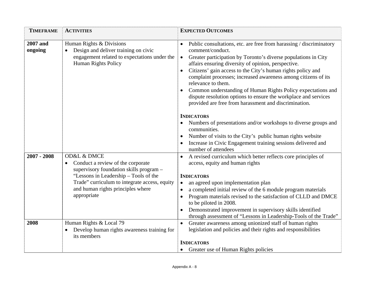| <b>TIMEFRAME</b>           | <b>ACTIVITIES</b>                                                                                                                                                                                                                                        | <b>EXPECTED OUTCOMES</b>                                                                                                                                                                                                                                                                                                                                                                                                                                                                                                                                                                                                                                                                                                                                                                                               |
|----------------------------|----------------------------------------------------------------------------------------------------------------------------------------------------------------------------------------------------------------------------------------------------------|------------------------------------------------------------------------------------------------------------------------------------------------------------------------------------------------------------------------------------------------------------------------------------------------------------------------------------------------------------------------------------------------------------------------------------------------------------------------------------------------------------------------------------------------------------------------------------------------------------------------------------------------------------------------------------------------------------------------------------------------------------------------------------------------------------------------|
| <b>2007</b> and<br>ongoing | Human Rights & Divisions<br>Design and deliver training on civic<br>engagement related to expectations under the<br><b>Human Rights Policy</b>                                                                                                           | Public consultations, etc. are free from harassing / discriminatory<br>comment/conduct.<br>Greater participation by Toronto's diverse populations in City<br>$\bullet$<br>affairs ensuring diversity of opinion, perspective.<br>Citizens' gain access to the City's human rights policy and<br>complaint processes; increased awareness among citizens of its<br>relevance to them.<br>Common understanding of Human Rights Policy expectations and<br>dispute resolution options to ensure the workplace and services<br>provided are free from harassment and discrimination.<br><b>INDICATORS</b><br>Numbers of presentations and/or workshops to diverse groups and<br>communities.<br>Number of visits to the City's public human rights website<br>Increase in Civic Engagement training sessions delivered and |
| $2007 - 2008$              | <b>OD&amp;L &amp; DMCE</b><br>Conduct a review of the corporate<br>supervisory foundation skills program -<br>"Lessons in Leadership – Tools of the<br>Trade" curriculum to integrate access, equity<br>and human rights principles where<br>appropriate | number of attendees<br>A revised curriculum which better reflects core principles of<br>access, equity and human rights<br><b>INDICATORS</b><br>an agreed upon implementation plan<br>$\bullet$<br>a completed initial review of the 6 module program materials<br>Program materials revised to the satisfaction of CLLD and DMCE<br>to be piloted in 2008.<br>Demonstrated improvement in supervisory skills identified<br>through assessment of "Lessons in Leadership-Tools of the Trade"                                                                                                                                                                                                                                                                                                                           |
| 2008                       | Human Rights & Local 79<br>Develop human rights awareness training for<br>its members                                                                                                                                                                    | Greater awareness among unionized staff of human rights<br>$\bullet$<br>legislation and policies and their rights and responsibilities<br><b>INDICATORS</b><br>• Greater use of Human Rights policies                                                                                                                                                                                                                                                                                                                                                                                                                                                                                                                                                                                                                  |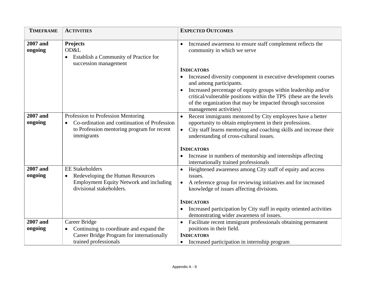| <b>TIMEFRAME</b>           | <b>ACTIVITIES</b>                                                                                                                              | <b>EXPECTED OUTCOMES</b>                                                                                                                                                                                                                                                                                                                        |
|----------------------------|------------------------------------------------------------------------------------------------------------------------------------------------|-------------------------------------------------------------------------------------------------------------------------------------------------------------------------------------------------------------------------------------------------------------------------------------------------------------------------------------------------|
| <b>2007</b> and<br>ongoing | Projects<br>OD&L<br><b>Establish a Community of Practice for</b><br>$\bullet$<br>succession management                                         | Increased awareness to ensure staff complement reflects the<br>$\bullet$<br>community in which we serve                                                                                                                                                                                                                                         |
|                            |                                                                                                                                                | <b>INDICATORS</b><br>Increased diversity component in executive development courses<br>and among participants.<br>Increased percentage of equity groups within leadership and/or<br>critical/vulnerable positions within the TPS (these are the levels<br>of the organization that may be impacted through succession<br>management activities) |
| <b>2007</b> and<br>ongoing | Profession to Profession Mentoring<br>Co-ordination and continuation of Profession<br>to Profession mentoring program for recent<br>immigrants | Recent immigrants mentored by City employees have a better<br>$\bullet$<br>opportunity to obtain employment in their professions.<br>City staff learns mentoring and coaching skills and increase their<br>$\bullet$<br>understanding of cross-cultural issues.<br><b>INDICATORS</b>                                                            |
|                            |                                                                                                                                                | Increase in numbers of mentorship and internships affecting<br>internationally trained professionals                                                                                                                                                                                                                                            |
| <b>2007</b> and<br>ongoing | <b>EE Stakeholders</b><br>Redeveloping the Human Resources<br><b>Employment Equity Network and including</b><br>divisional stakeholders.       | Heightened awareness among City staff of equity and access<br>$\bullet$<br>issues.<br>A reference group for reviewing initiatives and for increased<br>$\bullet$<br>knowledge of issues affecting divisions.                                                                                                                                    |
|                            |                                                                                                                                                | <b>INDICATORS</b><br>Increased participation by City staff in equity oriented activities<br>demonstrating wider awareness of issues.                                                                                                                                                                                                            |
| <b>2007</b> and<br>ongoing | Career Bridge<br>Continuing to coordinate and expand the<br>Career Bridge Program for internationally<br>trained professionals                 | Facilitate recent immigrant professionals obtaining permanent<br>$\bullet$<br>positions in their field.<br><b>INDICATORS</b><br>Increased participation in internship program<br>$\bullet$                                                                                                                                                      |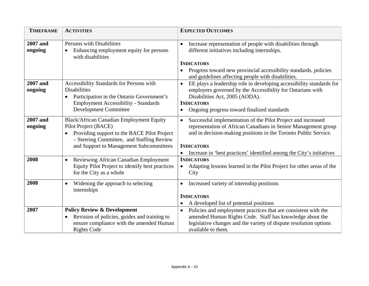| <b>TIMEFRAME</b>           | <b>ACTIVITIES</b>                                                                                                                                                                                        | <b>EXPECTED OUTCOMES</b>                                                                                                                                                                                                                                                                                    |
|----------------------------|----------------------------------------------------------------------------------------------------------------------------------------------------------------------------------------------------------|-------------------------------------------------------------------------------------------------------------------------------------------------------------------------------------------------------------------------------------------------------------------------------------------------------------|
| <b>2007</b> and<br>ongoing | Persons with Disabilities<br>Enhancing employment equity for persons<br>with disabilities                                                                                                                | Increase representation of people with disabilities through<br>$\bullet$<br>different initiatives including internships.<br><b>INDICATORS</b><br>Progress toward new provincial accessibility standards, policies<br>and guidelines affecting people with disabilities.                                     |
| 2007 and<br>ongoing        | Accessibility Standards for Persons with<br><b>Disabilities</b><br>Participation in the Ontario Government's<br>$\bullet$<br><b>Employment Accessibility - Standards</b><br><b>Development Committee</b> | EE plays a leadership role in developing accessibility standards for<br>$\bullet$<br>employers governed by the Accessibility for Ontarians with<br>Disabilities Act, 2005 (AODA).<br><b>INDICATORS</b><br>Ongoing progress toward finalized standards                                                       |
| <b>2007</b> and<br>ongoing | Black/African Canadian Employment Equity<br>Pilot Project (BACE)<br>Providing support to the BACE Pilot Project<br>- Steering Committee, and Staffing Review<br>and Support to Management Subcommittees  | Successful implementation of the Pilot Project and increased<br>$\bullet$<br>representation of African Canadians in Senior Management group<br>and in decision-making positions in the Toronto Public Service.<br><b>INDICATORS</b><br>Increase in 'best practices' identified among the City's initiatives |
| 2008                       | Reviewing African Canadian Employment<br>$\bullet$<br>Equity Pilot Project to identify best practices<br>for the City as a whole                                                                         | <b>INDICATORS</b><br>Adapting lessons learned in the Pilot Project for other areas of the<br>$\bullet$<br>City                                                                                                                                                                                              |
| 2008                       | Widening the approach to selecting<br>$\bullet$<br>internships                                                                                                                                           | Increased variety of internship positions<br>$\bullet$<br><b>INDICATORS</b><br>A developed list of potential positions                                                                                                                                                                                      |
| 2007                       | <b>Policy Review &amp; Development</b><br>Revision of policies, guides and training to<br>ensure compliance with the amended Human<br><b>Rights Code</b>                                                 | Policies and employment practices that are consistent with the<br>$\bullet$<br>amended Human Rights Code. Staff has knowledge about the<br>legislative changes and the variety of dispute resolution options<br>available to them.                                                                          |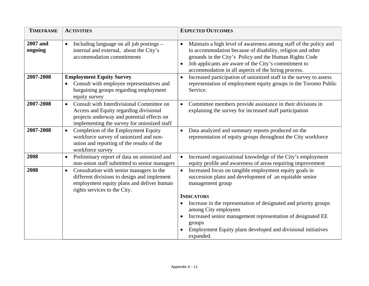| <b>TIMEFRAME</b>           | <b>ACTIVITIES</b>                                                                                                                                                                             | <b>EXPECTED OUTCOMES</b>                                                                                                                                                                                                                                                                                             |
|----------------------------|-----------------------------------------------------------------------------------------------------------------------------------------------------------------------------------------------|----------------------------------------------------------------------------------------------------------------------------------------------------------------------------------------------------------------------------------------------------------------------------------------------------------------------|
| <b>2007</b> and<br>ongoing | Including language on all job postings –<br>$\bullet$<br>internal and external, about the City's<br>accommodation commitments                                                                 | Maintain a high level of awareness among staff of the policy and<br>$\bullet$<br>in accommodation because of disability, religion and other<br>grounds in the City's Policy and the Human Rights Code<br>Job applicants are aware of the City's commitment to<br>accommodation in all aspects of the hiring process. |
| 2007-2008                  | <b>Employment Equity Survey</b><br>Consult with employee representatives and<br>bargaining groups regarding employment<br>equity survey                                                       | Increased participation of unionized staff in the survey to assess<br>$\bullet$<br>representation of employment equity groups in the Toronto Public<br>Service.                                                                                                                                                      |
| 2007-2008                  | Consult with Interdivisional Committee on<br>$\bullet$<br>Access and Equity regarding divisional<br>projects underway and potential effects on<br>implementing the survey for unionized staff | Committee members provide assistance in their divisions in<br>explaining the survey for increased staff participation                                                                                                                                                                                                |
| 2007-2008                  | Completion of the Employment Equity<br>$\bullet$<br>workforce survey of unionized and non-<br>union and reporting of the results of the<br>workforce survey                                   | Data analyzed and summary reports produced on the<br>$\bullet$<br>representation of equity groups throughout the City workforce                                                                                                                                                                                      |
| 2008                       | Preliminary report of data on unionized and<br>$\bullet$<br>non-union staff submitted to senior managers                                                                                      | Increased organizational knowledge of the City's employment<br>$\bullet$<br>equity profile and awareness of areas requiring improvement                                                                                                                                                                              |
| 2008                       | Consultation with senior managers in the<br>$\bullet$<br>different divisions to design and implement<br>employment equity plans and deliver human<br>rights services to the City.             | Increased focus on tangible employment equity goals in<br>$\bullet$<br>succession plans and development of an equitable senior<br>management group                                                                                                                                                                   |
|                            |                                                                                                                                                                                               | <b>INDICATORS</b>                                                                                                                                                                                                                                                                                                    |
|                            |                                                                                                                                                                                               | Increase in the representation of designated and priority groups<br>among City employees                                                                                                                                                                                                                             |
|                            |                                                                                                                                                                                               | Increased senior management representation of designated EE<br>groups                                                                                                                                                                                                                                                |
|                            |                                                                                                                                                                                               | Employment Equity plans developed and divisional initiatives<br>expanded.                                                                                                                                                                                                                                            |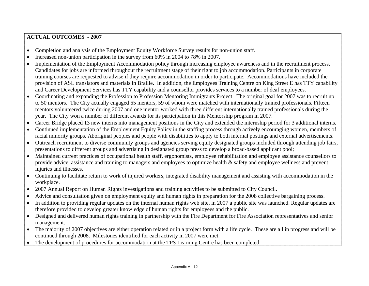#### **ACTUAL OUTCOMES - 2007**

- •Completion and analysis of the Employment Equity Workforce Survey results for non-union staff.
- •Increased non-union participation in the survey from 60% in 2004 to 78% in 2007.
- • Implementation of the Employment Accommodation policy through increasing employee awareness and in the recruitment process. Candidates for jobs are informed throughout the recruitment stage of their right to job accommodation. Participants in corporate training courses are requested to advise if they require accommodation in order to participate. Accommodations have included the provision of ASL translators and materials in Braille. In addition, the Employees Training Centre on King Street E has TTY capability and Career Development Services has TTY capability and a counsellor provides services to a number of deaf employees.
- • Coordinating and expanding the Profession to Profession Mentoring Immigrants Project. The original goal for 2007 was to recruit up to 50 mentors. The City actually engaged 65 mentors, 59 of whom were matched with internationally trained professionals. Fifteen mentors volunteered twice during 2007 and one mentor worked with three different internationally trained professionals during the year. The City won a number of different awards for its participation in this Mentorship program in 2007.
- •Career Bridge placed 13 new interns into management positions in the City and extended the internship period for 3 additional interns.
- • Continued implementation of the Employment Equity Policy in the staffing process through actively encouraging women, members of racial minority groups, Aboriginal peoples and people with disabilities to apply to both internal postings and external advertisements.
- • Outreach recruitment to diverse community groups and agencies serving equity designated groups included through attending job fairs, presentations to different groups and advertising in designated group press to develop a broad-based applicant pool;
- • Maintained current practices of occupational health staff, ergonomists, employee rehabilitation and employee assistance counsellors to provide advice, assistance and training to managers and employees to optimize health & safety and employee wellness and prevent injuries and illnesses.
- • Continuing to facilitate return to work of injured workers, integrated disability management and assisting with accommodation in the workplace.
- •2007 Annual Report on Human Rights investigations and training activities to be submitted to City Council.
- •Advice and consultation given on employment equity and human rights in preparation for the 2008 collective bargaining process.
- • In addition to providing regular updates on the internal human rights web site, in 2007 a public site was launched. Regular updates are therefore provided to develop greater knowledge of human rights for employees and the public.
- • Designed and delivered human rights training in partnership with the Fire Department for Fire Association representatives and senior management.
- • The majority of 2007 objectives are either operation related or in a project form with a life cycle. These are all in progress and will be continued through 2008. Milestones identified for each activity in 2007 were met.
- •The development of procedures for accommodation at the TPS Learning Centre has been completed.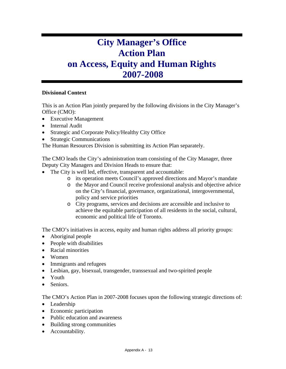# **City Manager's Office Action Plan on Access, Equity and Human Rights 2007-2008**

#### **Divisional Context**

This is an Action Plan jointly prepared by the following divisions in the City Manager's Office (CMO):

- Executive Management
- Internal Audit
- Strategic and Corporate Policy/Healthy City Office
- Strategic Communications

The Human Resources Division is submitting its Action Plan separately.

The CMO leads the City's administration team consisting of the City Manager, three Deputy City Managers and Division Heads to ensure that:

- The City is well led, effective, transparent and accountable:
	- o its operation meets Council's approved directions and Mayor's mandate
	- o the Mayor and Council receive professional analysis and objective advice on the City's financial, governance, organizational, intergovernmental, policy and service priorities
	- o City programs, services and decisions are accessible and inclusive to achieve the equitable participation of all residents in the social, cultural, economic and political life of Toronto.

The CMO's initiatives in access, equity and human rights address all priority groups:

- Aboriginal people
- People with disabilities
- Racial minorities
- Women
- Immigrants and refugees
- Lesbian, gay, bisexual, transgender, transsexual and two-spirited people
- Youth
- Seniors.

The CMO's Action Plan in 2007-2008 focuses upon the following strategic directions of:

- Leadership
- Economic participation
- Public education and awareness
- Building strong communities
- Accountability.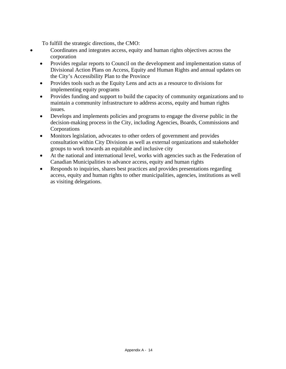To fulfill the strategic directions, the CMO:

- Coordinates and integrates access, equity and human rights objectives across the corporation
	- Provides regular reports to Council on the development and implementation status of Divisional Action Plans on Access, Equity and Human Rights and annual updates on the City's Accessibility Plan to the Province
	- Provides tools such as the Equity Lens and acts as a resource to divisions for implementing equity programs
	- Provides funding and support to build the capacity of community organizations and to maintain a community infrastructure to address access, equity and human rights issues.
	- Develops and implements policies and programs to engage the diverse public in the decision-making process in the City, including Agencies, Boards, Commissions and Corporations
	- Monitors legislation, advocates to other orders of government and provides consultation within City Divisions as well as external organizations and stakeholder groups to work towards an equitable and inclusive city
	- At the national and international level, works with agencies such as the Federation of Canadian Municipalities to advance access, equity and human rights
	- Responds to inquiries, shares best practices and provides presentations regarding access, equity and human rights to other municipalities, agencies, institutions as well as visiting delegations.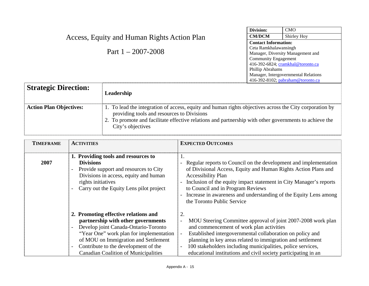| Access, Equity and Human Rights Action Plan |                                                                                                                                                       | Division:                            | <b>CMO</b>                        |
|---------------------------------------------|-------------------------------------------------------------------------------------------------------------------------------------------------------|--------------------------------------|-----------------------------------|
|                                             |                                                                                                                                                       | <b>CM/DCM</b>                        | Shirley Hoy                       |
|                                             |                                                                                                                                                       | <b>Contact Information:</b>          |                                   |
|                                             | Part $1 - 2007 - 2008$                                                                                                                                | Ceta Ramkhalawansingh                |                                   |
|                                             |                                                                                                                                                       | Manager, Diversity Management and    |                                   |
|                                             |                                                                                                                                                       | <b>Community Engagement</b>          |                                   |
|                                             |                                                                                                                                                       |                                      | 416-392-6824; cramkhal@toronto.ca |
|                                             |                                                                                                                                                       | Phillip Abrahams                     |                                   |
|                                             |                                                                                                                                                       | Manager, Intergovernmental Relations |                                   |
|                                             |                                                                                                                                                       |                                      | 416-392-8102; pabraham@toronto.ca |
| <b>Strategic Direction:</b>                 | Leadership                                                                                                                                            |                                      |                                   |
| <b>Action Plan Objectives:</b>              | 1. To lead the integration of access, equity and human rights objectives across the City corporation by<br>providing tools and resources to Divisions |                                      |                                   |
|                                             | 2. To promote and facilitate effective relations and partnership with other governments to achieve the<br>City's objectives                           |                                      |                                   |
|                                             |                                                                                                                                                       |                                      |                                   |

| <b>TIMEFRAME</b> | <b>ACTIVITIES</b>                                                                                                                                                                                                                                                                                                                                    | <b>EXPECTED OUTCOMES</b>                                                                                                                                                                                                                                                                                                                                                                         |
|------------------|------------------------------------------------------------------------------------------------------------------------------------------------------------------------------------------------------------------------------------------------------------------------------------------------------------------------------------------------------|--------------------------------------------------------------------------------------------------------------------------------------------------------------------------------------------------------------------------------------------------------------------------------------------------------------------------------------------------------------------------------------------------|
| 2007             | 1. Providing tools and resources to<br><b>Divisions</b><br>Provide support and resources to City<br>$\overline{\phantom{a}}$<br>Divisions in access, equity and human<br>rights initiatives<br>Carry out the Equity Lens pilot project                                                                                                               | 1.<br>Regular reports to Council on the development and implementation<br>of Divisional Access, Equity and Human Rights Action Plans and<br><b>Accessibility Plan</b><br>Inclusion of the equity impact statement in City Manager's reports<br>to Council and in Program Reviews<br>Increase in awareness and understanding of the Equity Lens among<br>the Toronto Public Service               |
|                  | 2. Promoting effective relations and<br>partnership with other governments<br>Develop joint Canada-Ontario-Toronto<br>$\overline{\phantom{a}}$<br>"Year One" work plan for implementation<br>of MOU on Immigration and Settlement<br>Contribute to the development of the<br>$\overline{\phantom{a}}$<br><b>Canadian Coalition of Municipalities</b> | 2.<br>MOU Steering Committee approval of joint 2007-2008 work plan<br>and commencement of work plan activities<br>Established intergovernmental collaboration on policy and<br>$\qquad \qquad -$<br>planning in key areas related to immigration and settlement<br>100 stakeholders including municipalities, police services,<br>educational institutions and civil society participating in an |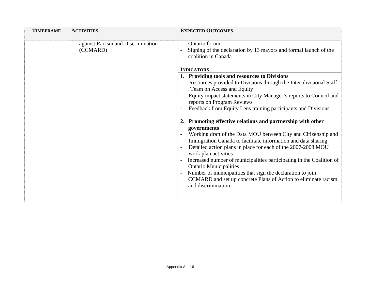| <b>TIMEFRAME</b> | <b>ACTIVITIES</b>                             | <b>EXPECTED OUTCOMES</b>                                                                                                                                                                                                                                                                                                                                                                                                                                                                                                                                              |
|------------------|-----------------------------------------------|-----------------------------------------------------------------------------------------------------------------------------------------------------------------------------------------------------------------------------------------------------------------------------------------------------------------------------------------------------------------------------------------------------------------------------------------------------------------------------------------------------------------------------------------------------------------------|
|                  | against Racism and Discrimination<br>(CCMARD) | Ontario forum<br>Signing of the declaration by 13 mayors and formal launch of the<br>coalition in Canada                                                                                                                                                                                                                                                                                                                                                                                                                                                              |
|                  |                                               | <b>INDICATORS</b>                                                                                                                                                                                                                                                                                                                                                                                                                                                                                                                                                     |
|                  |                                               | 1. Providing tools and resources to Divisions                                                                                                                                                                                                                                                                                                                                                                                                                                                                                                                         |
|                  |                                               | Resources provided to Divisions through the Inter-divisional Staff<br>Team on Access and Equity                                                                                                                                                                                                                                                                                                                                                                                                                                                                       |
|                  |                                               | Equity impact statements in City Manager's reports to Council and<br>reports on Program Reviews                                                                                                                                                                                                                                                                                                                                                                                                                                                                       |
|                  |                                               | Feedback from Equity Lens training participants and Divisions                                                                                                                                                                                                                                                                                                                                                                                                                                                                                                         |
|                  |                                               | 2. Promoting effective relations and partnership with other<br>governments<br>Working draft of the Data MOU between City and Citizenship and<br>Immigration Canada to facilitate information and data sharing<br>Detailed action plans in place for each of the 2007-2008 MOU<br>work plan activities<br>Increased number of municipalities participating in the Coalition of<br><b>Ontario Municipalities</b><br>Number of municipalities that sign the declaration to join<br>CCMARD and set up concrete Plans of Action to eliminate racism<br>and discrimination. |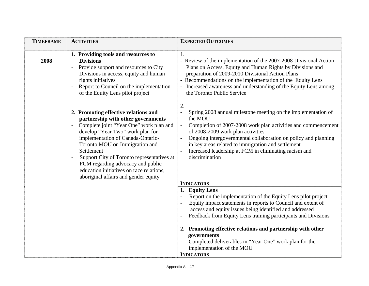| <b>TIMEFRAME</b> | <b>ACTIVITIES</b>                                                                                                                                                                                                                                                                                                                                                                                                     | <b>EXPECTED OUTCOMES</b>                                                                                                                                                                                                                                                                                                                                                                                            |
|------------------|-----------------------------------------------------------------------------------------------------------------------------------------------------------------------------------------------------------------------------------------------------------------------------------------------------------------------------------------------------------------------------------------------------------------------|---------------------------------------------------------------------------------------------------------------------------------------------------------------------------------------------------------------------------------------------------------------------------------------------------------------------------------------------------------------------------------------------------------------------|
| 2008             | 1. Providing tools and resources to<br><b>Divisions</b><br>Provide support and resources to City<br>Divisions in access, equity and human<br>rights initiatives<br>Report to Council on the implementation<br>of the Equity Lens pilot project                                                                                                                                                                        | 1.<br>- Review of the implementation of the 2007-2008 Divisional Action<br>Plans on Access, Equity and Human Rights by Divisions and<br>preparation of 2009-2010 Divisional Action Plans<br>- Recommendations on the implementation of the Equity Lens<br>Increased awareness and understanding of the Equity Lens among<br>the Toronto Public Service                                                              |
|                  | 2. Promoting effective relations and<br>partnership with other governments<br>Complete joint "Year One" work plan and<br>develop "Year Two" work plan for<br>implementation of Canada-Ontario-<br>Toronto MOU on Immigration and<br>Settlement<br>Support City of Toronto representatives at<br>FCM regarding advocacy and public<br>education initiatives on race relations,<br>aboriginal affairs and gender equity | 2.<br>Spring 2008 annual milestone meeting on the implementation of<br>the MOU<br>Completion of 2007-2008 work plan activities and commencement<br>of 2008-2009 work plan activities<br>Ongoing intergovernmental collaboration on policy and planning<br>in key areas related to immigration and settlement<br>Increased leadership at FCM in eliminating racism and<br>discrimination                             |
|                  |                                                                                                                                                                                                                                                                                                                                                                                                                       | <b>INDICATORS</b>                                                                                                                                                                                                                                                                                                                                                                                                   |
|                  |                                                                                                                                                                                                                                                                                                                                                                                                                       | 1. Equity Lens<br>Report on the implementation of the Equity Lens pilot project<br>Equity impact statements in reports to Council and extent of<br>access and equity issues being identified and addressed<br>Feedback from Equity Lens training participants and Divisions<br>2. Promoting effective relations and partnership with other<br>governments<br>Completed deliverables in "Year One" work plan for the |
|                  |                                                                                                                                                                                                                                                                                                                                                                                                                       | implementation of the MOU<br><b>INDICATORS</b>                                                                                                                                                                                                                                                                                                                                                                      |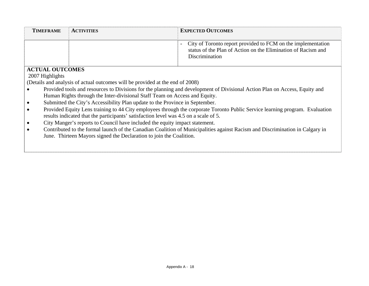| <b>TIMEFRAME</b>                                                                     | <b>ACTIVITIES</b>                                                                                                            | <b>EXPECTED OUTCOMES</b>                                                                                                                        |  |
|--------------------------------------------------------------------------------------|------------------------------------------------------------------------------------------------------------------------------|-------------------------------------------------------------------------------------------------------------------------------------------------|--|
|                                                                                      |                                                                                                                              | City of Toronto report provided to FCM on the implementation<br>status of the Plan of Action on the Elimination of Racism and<br>Discrimination |  |
| <b>ACTUAL OUTCOMES</b>                                                               |                                                                                                                              |                                                                                                                                                 |  |
| 2007 Highlights                                                                      |                                                                                                                              |                                                                                                                                                 |  |
|                                                                                      | (Details and analysis of actual outcomes will be provided at the end of 2008)                                                |                                                                                                                                                 |  |
|                                                                                      | Provided tools and resources to Divisions for the planning and development of Divisional Action Plan on Access, Equity and   |                                                                                                                                                 |  |
|                                                                                      | Human Rights through the Inter-divisional Staff Team on Access and Equity.                                                   |                                                                                                                                                 |  |
|                                                                                      | Submitted the City's Accessibility Plan update to the Province in September.                                                 |                                                                                                                                                 |  |
|                                                                                      | Provided Equity Lens training to 44 City employees through the corporate Toronto Public Service learning program. Evaluation |                                                                                                                                                 |  |
| results indicated that the participants' satisfaction level was 4.5 on a scale of 5. |                                                                                                                              |                                                                                                                                                 |  |
|                                                                                      | City Manger's reports to Council have included the equity impact statement.                                                  |                                                                                                                                                 |  |
|                                                                                      | Contributed to the formal launch of the Canadian Coalition of Municipalities against Racism and Discrimination in Calgary in |                                                                                                                                                 |  |
|                                                                                      | June. Thirteen Mayors signed the Declaration to join the Coalition.                                                          |                                                                                                                                                 |  |
|                                                                                      |                                                                                                                              |                                                                                                                                                 |  |
|                                                                                      |                                                                                                                              |                                                                                                                                                 |  |
|                                                                                      |                                                                                                                              |                                                                                                                                                 |  |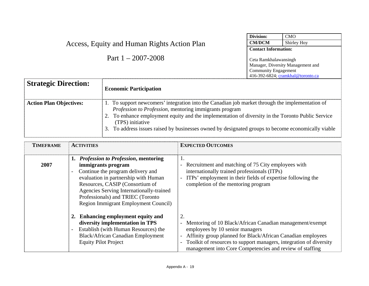|                                             |                                                                                                                                                                                                                                                                                                                                                                                          | Division:                                            | <b>CMO</b>                                                             |
|---------------------------------------------|------------------------------------------------------------------------------------------------------------------------------------------------------------------------------------------------------------------------------------------------------------------------------------------------------------------------------------------------------------------------------------------|------------------------------------------------------|------------------------------------------------------------------------|
| Access, Equity and Human Rights Action Plan | <b>CM/DCM</b>                                                                                                                                                                                                                                                                                                                                                                            | Shirley Hoy                                          |                                                                        |
|                                             |                                                                                                                                                                                                                                                                                                                                                                                          | <b>Contact Information:</b>                          |                                                                        |
| Part $1 - 2007 - 2008$                      |                                                                                                                                                                                                                                                                                                                                                                                          | Ceta Ramkhalawansingh<br><b>Community Engagement</b> | Manager, Diversity Management and<br>416-392-6824; cramkhal@toronto.ca |
| <b>Strategic Direction:</b>                 | <b>Economic Participation</b>                                                                                                                                                                                                                                                                                                                                                            |                                                      |                                                                        |
| <b>Action Plan Objectives:</b>              | 1. To support newcomers' integration into the Canadian job market through the implementation of<br>Profession to Profession, mentoring immigrants program<br>2. To enhance employment equity and the implementation of diversity in the Toronto Public Service<br>(TPS) initiative<br>3. To address issues raised by businesses owned by designated groups to become economically viable |                                                      |                                                                        |

| <b>TIMEFRAME</b> | <b>ACTIVITIES</b>                                                | <b>EXPECTED OUTCOMES</b>                                                                       |
|------------------|------------------------------------------------------------------|------------------------------------------------------------------------------------------------|
|                  |                                                                  |                                                                                                |
|                  | 1. Profession to Profession, mentoring                           | 1.                                                                                             |
| 2007             | immigrants program                                               | - Recruitment and matching of 75 City employees with                                           |
|                  | Continue the program delivery and                                | internationally trained professionals (ITPs)                                                   |
|                  | evaluation in partnership with Human                             | ITPs' employment in their fields of expertise following the                                    |
|                  | Resources, CASIP (Consortium of                                  | completion of the mentoring program                                                            |
|                  | Agencies Serving Internationally-trained                         |                                                                                                |
|                  | Professionals) and TRIEC (Toronto                                |                                                                                                |
|                  | <b>Region Immigrant Employment Council)</b>                      |                                                                                                |
|                  | 2. Enhancing employment equity and                               | 2.                                                                                             |
|                  | diversity implementation in TPS                                  | Mentoring of 10 Black/African Canadian management/exempt<br>$\overline{\phantom{0}}$           |
|                  | Establish (with Human Resources) the<br>$\overline{\phantom{a}}$ | employees by 10 senior managers                                                                |
|                  | <b>Black/African Canadian Employment</b>                         | Affinity group planned for Black/African Canadian employees<br>$\overline{\phantom{0}}$        |
|                  | <b>Equity Pilot Project</b>                                      | Toolkit of resources to support managers, integration of diversity<br>$\overline{\phantom{a}}$ |
|                  |                                                                  | management into Core Competencies and review of staffing                                       |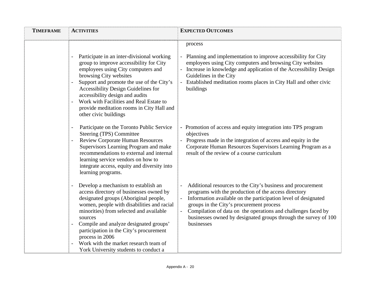| <b>TIMEFRAME</b> | <b>ACTIVITIES</b>                                                                                                                                                                                                                                                                                                                                                                                                     | <b>EXPECTED OUTCOMES</b>                                                                                                                                                                                                                                                                                                                                                            |
|------------------|-----------------------------------------------------------------------------------------------------------------------------------------------------------------------------------------------------------------------------------------------------------------------------------------------------------------------------------------------------------------------------------------------------------------------|-------------------------------------------------------------------------------------------------------------------------------------------------------------------------------------------------------------------------------------------------------------------------------------------------------------------------------------------------------------------------------------|
|                  | Participate in an inter-divisional working<br>group to improve accessibility for City<br>employees using City computers and<br>browsing City websites<br>Support and promote the use of the City's<br>$\overline{a}$<br>Accessibility Design Guidelines for<br>accessibility design and audits<br>Work with Facilities and Real Estate to<br>provide meditation rooms in City Hall and<br>other civic buildings       | process<br>- Planning and implementation to improve accessibility for City<br>employees using City computers and browsing City websites<br>- Increase in knowledge and application of the Accessibility Design<br>Guidelines in the City<br>- Established meditation rooms places in City Hall and other civic<br>buildings                                                         |
|                  | Participate on the Toronto Public Service<br>Steering (TPS) Committee<br><b>Review Corporate Human Resources</b><br>Supervisors Learning Program and make<br>recommendations to external and internal<br>learning service vendors on how to<br>integrate access, equity and diversity into<br>learning programs.                                                                                                      | - Promotion of access and equity integration into TPS program<br>objectives<br>- Progress made in the integration of access and equity in the<br>Corporate Human Resources Supervisors Learning Program as a<br>result of the review of a course curriculum                                                                                                                         |
|                  | Develop a mechanism to establish an<br>access directory of businesses owned by<br>designated groups (Aboriginal people,<br>women, people with disabilities and racial<br>minorities) from selected and available<br>sources<br>Compile and analyze designated groups'<br>participation in the City's procurement<br>process in 2006<br>Work with the market research team of<br>York University students to conduct a | Additional resources to the City's business and procurement<br>programs with the production of the access directory<br>Information available on the participation level of designated<br>groups in the City's procurement process<br>Compilation of data on the operations and challenges faced by<br>businesses owned by designated groups through the survey of 100<br>businesses |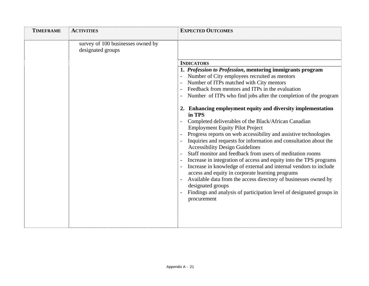| <b>TIMEFRAME</b> | <b>ACTIVITIES</b>                                      | <b>EXPECTED OUTCOMES</b>                                                                                                                                                                                                                                                                                                                                                                                                                                                                                                                                                                                                                                                                                                                                                                              |
|------------------|--------------------------------------------------------|-------------------------------------------------------------------------------------------------------------------------------------------------------------------------------------------------------------------------------------------------------------------------------------------------------------------------------------------------------------------------------------------------------------------------------------------------------------------------------------------------------------------------------------------------------------------------------------------------------------------------------------------------------------------------------------------------------------------------------------------------------------------------------------------------------|
|                  | survey of 100 businesses owned by<br>designated groups | <b>INDICATORS</b><br>1. Profession to Profession, mentoring immigrants program<br>Number of City employees recruited as mentors<br>Number of ITPs matched with City mentors<br>Feedback from mentors and ITPs in the evaluation<br>Number of ITPs who find jobs after the completion of the program                                                                                                                                                                                                                                                                                                                                                                                                                                                                                                   |
|                  |                                                        | 2. Enhancing employment equity and diversity implementation<br>in TPS<br>Completed deliverables of the Black/African Canadian<br><b>Employment Equity Pilot Project</b><br>Progress reports on web accessibility and assistive technologies<br>Inquiries and requests for information and consultation about the<br><b>Accessibility Design Guidelines</b><br>Staff monitor and feedback from users of meditation rooms<br>Increase in integration of access and equity into the TPS programs<br>Increase in knowledge of external and internal vendors to include<br>access and equity in corporate learning programs<br>Available data from the access directory of businesses owned by<br>designated groups<br>Findings and analysis of participation level of designated groups in<br>procurement |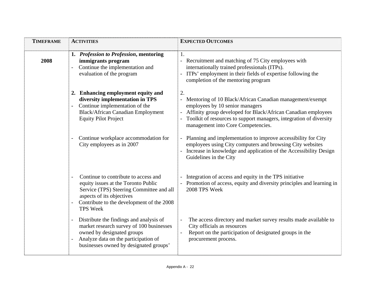| <b>TIMEFRAME</b> | <b>ACTIVITIES</b>                                                                                                                                                                                                                                | <b>EXPECTED OUTCOMES</b>                                                                                                                                                                                                                                                           |
|------------------|--------------------------------------------------------------------------------------------------------------------------------------------------------------------------------------------------------------------------------------------------|------------------------------------------------------------------------------------------------------------------------------------------------------------------------------------------------------------------------------------------------------------------------------------|
| 2008             | 1. Profession to Profession, mentoring<br>immigrants program<br>Continue the implementation and<br>evaluation of the program                                                                                                                     | 1.<br>- Recruitment and matching of 75 City employees with<br>internationally trained professionals (ITPs).<br>- ITPs' employment in their fields of expertise following the<br>completion of the mentoring program                                                                |
|                  | 2. Enhancing employment equity and<br>diversity implementation in TPS<br>Continue implementation of the<br><b>Black/African Canadian Employment</b><br><b>Equity Pilot Project</b>                                                               | 2.<br>- Mentoring of 10 Black/African Canadian management/exempt<br>employees by 10 senior managers<br>Affinity group developed for Black/African Canadian employees<br>- Toolkit of resources to support managers, integration of diversity<br>management into Core Competencies. |
|                  | Continue workplace accommodation for<br>City employees as in 2007                                                                                                                                                                                | - Planning and implementation to improve accessibility for City<br>employees using City computers and browsing City websites<br>Increase in knowledge and application of the Accessibility Design<br>Guidelines in the City                                                        |
|                  | Continue to contribute to access and<br>$\overline{\phantom{a}}$<br>equity issues at the Toronto Public<br>Service (TPS) Steering Committee and all<br>aspects of its objectives<br>Contribute to the development of the 2008<br><b>TPS Week</b> | Integration of access and equity in the TPS initiative<br>- Promotion of access, equity and diversity principles and learning in<br>2008 TPS Week                                                                                                                                  |
|                  | Distribute the findings and analysis of<br>$\overline{\phantom{a}}$<br>market research survey of 100 businesses<br>owned by designated groups<br>Analyze data on the participation of<br>businesses owned by designated groups'                  | The access directory and market survey results made available to<br>City officials as resources<br>Report on the participation of designated groups in the<br>procurement process.                                                                                                 |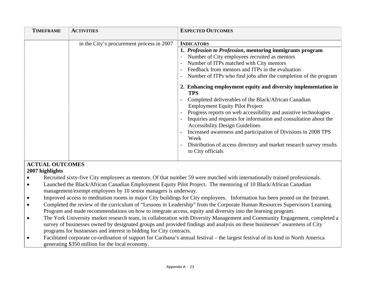| <b>TIMEFRAME</b> | <b>ACTIVITIES</b>                         | <b>EXPECTED OUTCOMES</b>                                                                                    |
|------------------|-------------------------------------------|-------------------------------------------------------------------------------------------------------------|
|                  | in the City's procurement process in 2007 | <b>INDICATORS</b>                                                                                           |
|                  |                                           | 1. Profession to Profession, mentoring immigrants program                                                   |
|                  |                                           | Number of City employees recruited as mentors                                                               |
|                  |                                           | Number of ITPs matched with City mentors                                                                    |
|                  |                                           | Feedback from mentors and ITPs in the evaluation                                                            |
|                  |                                           | Number of ITPs who find jobs after the completion of the program                                            |
|                  |                                           | 2. Enhancing employment equity and diversity implementation in<br><b>TPS</b>                                |
|                  |                                           | Completed deliverables of the Black/African Canadian                                                        |
|                  |                                           | <b>Employment Equity Pilot Project</b>                                                                      |
|                  |                                           | Progress reports on web accessibility and assistive technologies                                            |
|                  |                                           | Inquiries and requests for information and consultation about the<br><b>Accessibility Design Guidelines</b> |
|                  |                                           | Increased awareness and participation of Divisions in 2008 TPS<br>Week                                      |
|                  |                                           | Distribution of access directory and market research survey results<br>to City officials                    |
|                  |                                           |                                                                                                             |

#### **ACTUAL OUTCOMES 2007 highlights**

- •Recruited sixty-five City employees as mentors. Of that number 59 were matched with internationally trained professionals.
- • Launched the Black/African Canadian Employment Equity Pilot Project. The mentoring of 10 Black/African Canadian management/exempt employees by 10 senior managers is underway.
- •Improved access to meditation rooms in major City buildings for City employees. Information has been posted on the Intranet.
- • Completed the review of the curriculum of "Lessons in Leadership" from the Corporate Human Resources Supervisors Learning Program and made recommendations on how to integrate access, equity and diversity into the learning program.
- • The York University market research team, in collaboration with Diversity Management and Community Engagement, completed a survey of businesses owned by designated groups and provided findings and analysis on these businesses' awareness of City programs for businesses and interest in bidding for City contracts.
- • Facilitated corporate co-ordination of support for Caribana's annual festival – the largest festival of its kind in North America generating \$350 million for the local economy.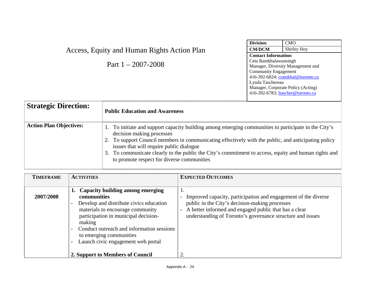|                                                                      |                                                                                                                                                                                                                                                                                                                                                                                          | Division:                                                                                                                                                                                                                                                    | <b>CMO</b>  |
|----------------------------------------------------------------------|------------------------------------------------------------------------------------------------------------------------------------------------------------------------------------------------------------------------------------------------------------------------------------------------------------------------------------------------------------------------------------------|--------------------------------------------------------------------------------------------------------------------------------------------------------------------------------------------------------------------------------------------------------------|-------------|
|                                                                      | Access, Equity and Human Rights Action Plan                                                                                                                                                                                                                                                                                                                                              | <b>CM/DCM</b>                                                                                                                                                                                                                                                | Shirley Hoy |
|                                                                      | Part $1 - 2007 - 2008$                                                                                                                                                                                                                                                                                                                                                                   | <b>Contact Information:</b><br>Ceta Ramkhalawansingh<br>Manager, Diversity Management and<br><b>Community Engagement</b><br>416-392-6824; cramkhal@toronto.ca<br>Lynda Taschereau<br>Manager, Corporate Policy (Acting)<br>416-392-6783; ltascher@toronto.ca |             |
| <b>Strategic Direction:</b><br><b>Public Education and Awareness</b> |                                                                                                                                                                                                                                                                                                                                                                                          |                                                                                                                                                                                                                                                              |             |
| <b>Action Plan Objectives:</b>                                       | 1. To initiate and support capacity building among emerging communities to participate in the City's<br>decision making processes<br>2. To support Council members in communicating effectively with the public, and anticipating policy<br>issues that will require public dialogue<br>To communicate clearly to the public the City's commitment to access equity and human rights and |                                                                                                                                                                                                                                                              |             |

|  | 3. To communicate clearly to the public the City's commitment to access, equity and human rights and |
|--|------------------------------------------------------------------------------------------------------|
|  | to promote respect for diverse communities                                                           |

| <b>TIMEFRAME</b> | <b>ACTIVITIES</b>                                                                                                                                                                                                                                                                                 | <b>EXPECTED OUTCOMES</b>                                                                                                                                                                                                                    |
|------------------|---------------------------------------------------------------------------------------------------------------------------------------------------------------------------------------------------------------------------------------------------------------------------------------------------|---------------------------------------------------------------------------------------------------------------------------------------------------------------------------------------------------------------------------------------------|
| 2007/2008        | 1. Capacity building among emerging<br>communities<br>Develop and distribute civics education<br>materials to encourage community<br>participation in municipal decision-<br>making<br>Conduct outreach and information sessions<br>to emerging communities<br>Launch civic engagement web portal | - Improved capacity, participation and engagement of the diverse<br>public in the City's decision-making processes<br>- A better informed and engaged public that has a clear<br>understanding of Toronto's governance structure and issues |
|                  | 2. Support to Members of Council                                                                                                                                                                                                                                                                  | 2.                                                                                                                                                                                                                                          |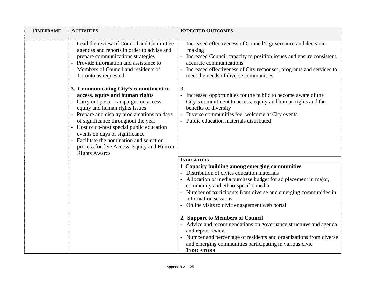| <b>TIMEFRAME</b> | <b>ACTIVITIES</b>                                                                                                                                                                                                                                                                                                                                                                                                                                                       | <b>EXPECTED OUTCOMES</b>                                                                                                                                                                                                                                                                         |
|------------------|-------------------------------------------------------------------------------------------------------------------------------------------------------------------------------------------------------------------------------------------------------------------------------------------------------------------------------------------------------------------------------------------------------------------------------------------------------------------------|--------------------------------------------------------------------------------------------------------------------------------------------------------------------------------------------------------------------------------------------------------------------------------------------------|
|                  | Lead the review of Council and Committee<br>agendas and reports in order to advise and<br>prepare communications strategies<br>Provide information and assistance to<br>Members of Council and residents of<br>Toronto as requested                                                                                                                                                                                                                                     | - Increased effectiveness of Council's governance and decision-<br>making<br>- Increased Council capacity to position issues and ensure consistent,<br>accurate communications<br>- Increased effectiveness of City responses, programs and services to<br>meet the needs of diverse communities |
|                  | 3. Communicating City's commitment to<br>access, equity and human rights<br>- Carry out poster campaigns on access,<br>equity and human rights issues<br>- Prepare and display proclamations on days<br>of significance throughout the year<br>- Host or co-host special public education<br>events on days of significance<br>Facilitate the nomination and selection<br>$\overline{\phantom{0}}$<br>process for five Access, Equity and Human<br><b>Rights Awards</b> | 3.<br>- Increased opportunities for the public to become aware of the<br>City's commitment to access, equity and human rights and the<br>benefits of diversity<br>- Diverse communities feel welcome at City events<br>- Public education materials distributed                                  |
|                  |                                                                                                                                                                                                                                                                                                                                                                                                                                                                         | <b>INDICATORS</b>                                                                                                                                                                                                                                                                                |
|                  |                                                                                                                                                                                                                                                                                                                                                                                                                                                                         | 1 Capacity building among emerging communities                                                                                                                                                                                                                                                   |
|                  |                                                                                                                                                                                                                                                                                                                                                                                                                                                                         | Distribution of civics education materials                                                                                                                                                                                                                                                       |
|                  |                                                                                                                                                                                                                                                                                                                                                                                                                                                                         | - Allocation of media purchase budget for ad placement in major,<br>community and ethno-specific media                                                                                                                                                                                           |
|                  |                                                                                                                                                                                                                                                                                                                                                                                                                                                                         | - Number of participants from diverse and emerging communities in<br>information sessions                                                                                                                                                                                                        |
|                  |                                                                                                                                                                                                                                                                                                                                                                                                                                                                         | - Online visits to civic engagement web portal                                                                                                                                                                                                                                                   |
|                  |                                                                                                                                                                                                                                                                                                                                                                                                                                                                         | 2. Support to Members of Council                                                                                                                                                                                                                                                                 |
|                  |                                                                                                                                                                                                                                                                                                                                                                                                                                                                         | - Advice and recommendations on governance structures and agenda<br>and report review                                                                                                                                                                                                            |
|                  |                                                                                                                                                                                                                                                                                                                                                                                                                                                                         | - Number and percentage of residents and organizations from diverse                                                                                                                                                                                                                              |
|                  |                                                                                                                                                                                                                                                                                                                                                                                                                                                                         | and emerging communities participating in various civic                                                                                                                                                                                                                                          |
|                  |                                                                                                                                                                                                                                                                                                                                                                                                                                                                         | <b>INDICATORS</b>                                                                                                                                                                                                                                                                                |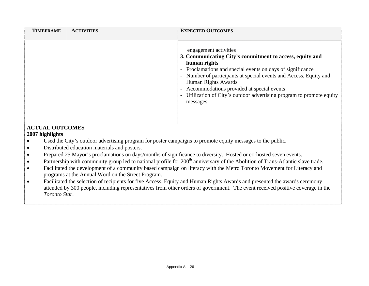| <b>TIMEFRAME</b>                                                                                                                                                                | <b>ACTIVITIES</b>                            | <b>EXPECTED OUTCOMES</b>                                                                                                                                                                                                                                                                                                                                                                    |  |
|---------------------------------------------------------------------------------------------------------------------------------------------------------------------------------|----------------------------------------------|---------------------------------------------------------------------------------------------------------------------------------------------------------------------------------------------------------------------------------------------------------------------------------------------------------------------------------------------------------------------------------------------|--|
|                                                                                                                                                                                 |                                              | engagement activities<br>3. Communicating City's commitment to access, equity and<br>human rights<br>- Proclamations and special events on days of significance<br>Number of participants at special events and Access, Equity and<br>Human Rights Awards<br>- Accommodations provided at special events<br>Utilization of City's outdoor advertising program to promote equity<br>messages |  |
| <b>ACTUAL OUTCOMES</b><br>2007 highlights                                                                                                                                       |                                              |                                                                                                                                                                                                                                                                                                                                                                                             |  |
| Used the City's outdoor advertising program for poster campaigns to promote equity messages to the public.                                                                      |                                              |                                                                                                                                                                                                                                                                                                                                                                                             |  |
|                                                                                                                                                                                 | Distributed education materials and posters. |                                                                                                                                                                                                                                                                                                                                                                                             |  |
|                                                                                                                                                                                 |                                              | Prepared 25 Mayor's proclamations on days/months of significance to diversity. Hosted or co-hosted seven events.                                                                                                                                                                                                                                                                            |  |
| Partnership with community group led to national profile for 200 <sup>th</sup> anniversary of the Abolition of Trans-Atlantic slave trade.                                      |                                              |                                                                                                                                                                                                                                                                                                                                                                                             |  |
| Facilitated the development of a community based campaign on literacy with the Metro Toronto Movement for Literacy and                                                          |                                              |                                                                                                                                                                                                                                                                                                                                                                                             |  |
| programs at the Annual Word on the Street Program.<br>Facilitated the selection of recipients for five Access, Equity and Human Rights Awards and presented the awards ceremony |                                              |                                                                                                                                                                                                                                                                                                                                                                                             |  |
| attended by 300 people, including representatives from other orders of government. The event received positive coverage in the                                                  |                                              |                                                                                                                                                                                                                                                                                                                                                                                             |  |
| Toronto Star.                                                                                                                                                                   |                                              |                                                                                                                                                                                                                                                                                                                                                                                             |  |
|                                                                                                                                                                                 |                                              |                                                                                                                                                                                                                                                                                                                                                                                             |  |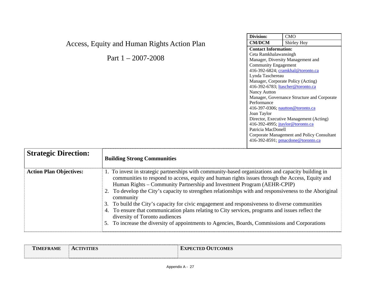|                                                                                                                                                                                                                                                                                                                                                                                                      |                                                                                                    | Division:                        | CMO                                         |
|------------------------------------------------------------------------------------------------------------------------------------------------------------------------------------------------------------------------------------------------------------------------------------------------------------------------------------------------------------------------------------------------------|----------------------------------------------------------------------------------------------------|----------------------------------|---------------------------------------------|
| Access, Equity and Human Rights Action Plan                                                                                                                                                                                                                                                                                                                                                          | <b>CM/DCM</b>                                                                                      | Shirley Hoy                      |                                             |
|                                                                                                                                                                                                                                                                                                                                                                                                      | <b>Contact Information:</b>                                                                        |                                  |                                             |
|                                                                                                                                                                                                                                                                                                                                                                                                      | Ceta Ramkhalawansingh                                                                              |                                  |                                             |
|                                                                                                                                                                                                                                                                                                                                                                                                      | Part $1 - 2007 - 2008$                                                                             |                                  | Manager, Diversity Management and           |
|                                                                                                                                                                                                                                                                                                                                                                                                      |                                                                                                    | <b>Community Engagement</b>      |                                             |
|                                                                                                                                                                                                                                                                                                                                                                                                      |                                                                                                    |                                  | 416-392-6824; cramkhal@toronto.ca           |
|                                                                                                                                                                                                                                                                                                                                                                                                      |                                                                                                    | Lynda Taschereau                 |                                             |
|                                                                                                                                                                                                                                                                                                                                                                                                      |                                                                                                    |                                  | Manager, Corporate Policy (Acting)          |
|                                                                                                                                                                                                                                                                                                                                                                                                      |                                                                                                    | Nancy Autton                     | 416-392-6783; ltascher@toronto.ca           |
|                                                                                                                                                                                                                                                                                                                                                                                                      |                                                                                                    |                                  | Manager, Governance Structure and Corporate |
|                                                                                                                                                                                                                                                                                                                                                                                                      |                                                                                                    | Performance                      |                                             |
|                                                                                                                                                                                                                                                                                                                                                                                                      |                                                                                                    |                                  | 416-397-0306; nautton@toronto.ca            |
|                                                                                                                                                                                                                                                                                                                                                                                                      |                                                                                                    | Joan Taylor                      |                                             |
|                                                                                                                                                                                                                                                                                                                                                                                                      |                                                                                                    |                                  | Director, Executive Management (Acting)     |
|                                                                                                                                                                                                                                                                                                                                                                                                      |                                                                                                    | 416-392-4995; jtaylor@toronto.ca |                                             |
|                                                                                                                                                                                                                                                                                                                                                                                                      |                                                                                                    | Patricia MacDonell               |                                             |
|                                                                                                                                                                                                                                                                                                                                                                                                      |                                                                                                    |                                  | Corporate Management and Policy Consultant  |
|                                                                                                                                                                                                                                                                                                                                                                                                      |                                                                                                    |                                  | 416-392-8591; pmacdone@toronto.ca           |
|                                                                                                                                                                                                                                                                                                                                                                                                      |                                                                                                    |                                  |                                             |
| <b>Strategic Direction:</b>                                                                                                                                                                                                                                                                                                                                                                          |                                                                                                    |                                  |                                             |
|                                                                                                                                                                                                                                                                                                                                                                                                      | <b>Building Strong Communities</b>                                                                 |                                  |                                             |
|                                                                                                                                                                                                                                                                                                                                                                                                      |                                                                                                    |                                  |                                             |
| <b>Action Plan Objectives:</b>                                                                                                                                                                                                                                                                                                                                                                       | 1. To invest in strategic partnerships with community-based organizations and capacity building in |                                  |                                             |
| communities to respond to access, equity and human rights issues through the Access, Equity and<br>Human Rights – Community Partnership and Investment Program (AEHR-CPIP)<br>2. To develop the City's capacity to strengthen relationships with and responsiveness to the Aboriginal<br>community<br>3. To build the City's capacity for civic engagement and responsiveness to diverse communities |                                                                                                    |                                  |                                             |
|                                                                                                                                                                                                                                                                                                                                                                                                      |                                                                                                    |                                  |                                             |
|                                                                                                                                                                                                                                                                                                                                                                                                      |                                                                                                    |                                  |                                             |
|                                                                                                                                                                                                                                                                                                                                                                                                      |                                                                                                    |                                  |                                             |
|                                                                                                                                                                                                                                                                                                                                                                                                      |                                                                                                    |                                  |                                             |
|                                                                                                                                                                                                                                                                                                                                                                                                      |                                                                                                    |                                  |                                             |
| 4. To ensure that communication plans relating to City services, programs and issues reflect the                                                                                                                                                                                                                                                                                                     |                                                                                                    |                                  |                                             |
| diversity of Toronto audiences                                                                                                                                                                                                                                                                                                                                                                       |                                                                                                    |                                  |                                             |
|                                                                                                                                                                                                                                                                                                                                                                                                      | 5. To increase the diversity of appointments to Agencies, Boards, Commissions and Corporations     |                                  |                                             |
|                                                                                                                                                                                                                                                                                                                                                                                                      |                                                                                                    |                                  |                                             |

| <b>IMEFRAME</b> | <b>ACTIVITIES</b> | <b>EXPECTED OUTCOMES</b> |
|-----------------|-------------------|--------------------------|
|                 |                   |                          |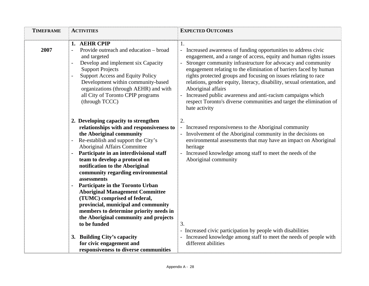| <b>TIMEFRAME</b> | <b>ACTIVITIES</b>                                                                                                                                                                                                                                                                                                                                                                                                                                                                                                                                                                                             | <b>EXPECTED OUTCOMES</b>                                                                                                                                                                                                                                                                                                                                                                                                                                                                                                                                                                                    |
|------------------|---------------------------------------------------------------------------------------------------------------------------------------------------------------------------------------------------------------------------------------------------------------------------------------------------------------------------------------------------------------------------------------------------------------------------------------------------------------------------------------------------------------------------------------------------------------------------------------------------------------|-------------------------------------------------------------------------------------------------------------------------------------------------------------------------------------------------------------------------------------------------------------------------------------------------------------------------------------------------------------------------------------------------------------------------------------------------------------------------------------------------------------------------------------------------------------------------------------------------------------|
| 2007             | 1. AEHR CPIP<br>Provide outreach and education – broad<br>and targeted<br>Develop and implement six Capacity<br>$\overline{\phantom{a}}$<br><b>Support Projects</b><br><b>Support Access and Equity Policy</b><br>$\overline{\phantom{a}}$<br>Development within community-based<br>organizations (through AEHR) and with<br>all City of Toronto CPIP programs<br>(through TCCC)                                                                                                                                                                                                                              | 1.<br>- Increased awareness of funding opportunities to address civic<br>engagement, and a range of access, equity and human rights issues<br>Stronger community infrastructure for advocacy and community<br>engagement relating to the elimination of barriers faced by human<br>rights protected groups and focusing on issues relating to race<br>relations, gender equity, literacy, disability, sexual orientation, and<br>Aboriginal affairs<br>- Increased public awareness and anti-racism campaigns which<br>respect Toronto's diverse communities and target the elimination of<br>hate activity |
|                  | 2. Developing capacity to strengthen<br>relationships with and responsiveness to<br>the Aboriginal community<br>Re-establish and support the City's<br>Aboriginal Affairs Committee<br>Participate in an interdivisional staff<br>team to develop a protocol on<br>notification to the Aboriginal<br>community regarding environmental<br>assessments<br>Participate in the Toronto Urban<br><b>Aboriginal Management Committee</b><br>(TUMC) comprised of federal,<br>provincial, municipal and community<br>members to determine priority needs in<br>the Aboriginal community and projects<br>to be funded | 2.<br>- Increased responsiveness to the Aboriginal community<br>- Involvement of the Aboriginal community in the decisions on<br>environmental assessments that may have an impact on Aboriginal<br>heritage<br>- Increased knowledge among staff to meet the needs of the<br>Aboriginal community<br>3.                                                                                                                                                                                                                                                                                                    |
|                  | 3. Building City's capacity<br>for civic engagement and<br>responsiveness to diverse communities                                                                                                                                                                                                                                                                                                                                                                                                                                                                                                              | - Increased civic participation by people with disabilities<br>- Increased knowledge among staff to meet the needs of people with<br>different abilities                                                                                                                                                                                                                                                                                                                                                                                                                                                    |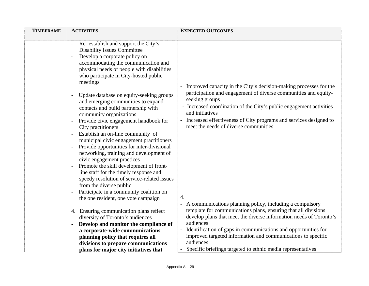| <b>TIMEFRAME</b> | <b>ACTIVITIES</b>                                                                                                                                                                                                                                                                                                                                                                                                                                                                                                                                                                                                                                                                                                                                                                                                                                                                                                                                                                                                                                                                                                | <b>EXPECTED OUTCOMES</b>                                                                                                                                                                                                                                                                                                                                                                                                                                                                                                                                                                                                                                      |
|------------------|------------------------------------------------------------------------------------------------------------------------------------------------------------------------------------------------------------------------------------------------------------------------------------------------------------------------------------------------------------------------------------------------------------------------------------------------------------------------------------------------------------------------------------------------------------------------------------------------------------------------------------------------------------------------------------------------------------------------------------------------------------------------------------------------------------------------------------------------------------------------------------------------------------------------------------------------------------------------------------------------------------------------------------------------------------------------------------------------------------------|---------------------------------------------------------------------------------------------------------------------------------------------------------------------------------------------------------------------------------------------------------------------------------------------------------------------------------------------------------------------------------------------------------------------------------------------------------------------------------------------------------------------------------------------------------------------------------------------------------------------------------------------------------------|
|                  | Re-establish and support the City's<br><b>Disability Issues Committee</b><br>Develop a corporate policy on<br>accommodating the communication and<br>physical needs of people with disabilities<br>who participate in City-hosted public<br>meetings<br>Update database on equity-seeking groups<br>and emerging communities to expand<br>contacts and build partnership with<br>community organizations<br>Provide civic engagement handbook for<br>City practitioners<br>Establish an on-line community of<br>$\overline{\phantom{a}}$<br>municipal civic engagement practitioners<br>Provide opportunities for inter-divisional<br>networking, training and development of<br>civic engagement practices<br>Promote the skill development of front-<br>line staff for the timely response and<br>speedy resolution of service-related issues<br>from the diverse public<br>Participate in a community coalition on<br>$\overline{\phantom{a}}$<br>the one resident, one vote campaign<br>4. Ensuring communication plans reflect<br>diversity of Toronto's audiences<br>Develop and monitor the compliance of | - Improved capacity in the City's decision-making processes for the<br>participation and engagement of diverse communities and equity-<br>seeking groups<br>- Increased coordination of the City's public engagement activities<br>and initiatives<br>- Increased effectiveness of City programs and services designed to<br>meet the needs of diverse communities<br>4.<br>- A communications planning policy, including a compulsory<br>template for communications plans, ensuring that all divisions<br>develop plans that meet the diverse information needs of Toronto's<br>audiences<br>Identification of gaps in communications and opportunities for |
|                  | a corporate-wide communications<br>planning policy that requires all                                                                                                                                                                                                                                                                                                                                                                                                                                                                                                                                                                                                                                                                                                                                                                                                                                                                                                                                                                                                                                             | improved targeted information and communications to specific                                                                                                                                                                                                                                                                                                                                                                                                                                                                                                                                                                                                  |
|                  | divisions to prepare communications                                                                                                                                                                                                                                                                                                                                                                                                                                                                                                                                                                                                                                                                                                                                                                                                                                                                                                                                                                                                                                                                              | audiences<br>Specific briefings targeted to ethnic media representatives                                                                                                                                                                                                                                                                                                                                                                                                                                                                                                                                                                                      |
|                  | plans for major city initiatives that                                                                                                                                                                                                                                                                                                                                                                                                                                                                                                                                                                                                                                                                                                                                                                                                                                                                                                                                                                                                                                                                            |                                                                                                                                                                                                                                                                                                                                                                                                                                                                                                                                                                                                                                                               |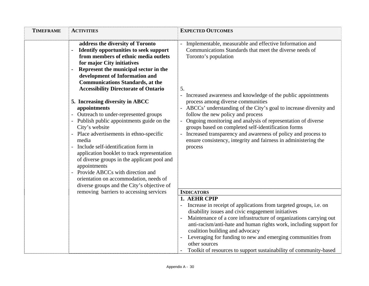| <b>TIMEFRAME</b> | <b>ACTIVITIES</b>                                                                                                                                                                                                                                                                                                                                                                                                                                                                                                                                                                                                                                                                                                                                                                                                         | <b>EXPECTED OUTCOMES</b>                                                                                                                                                                                                                                                                                                                                                                                                                                                                                                                                                                                                                  |
|------------------|---------------------------------------------------------------------------------------------------------------------------------------------------------------------------------------------------------------------------------------------------------------------------------------------------------------------------------------------------------------------------------------------------------------------------------------------------------------------------------------------------------------------------------------------------------------------------------------------------------------------------------------------------------------------------------------------------------------------------------------------------------------------------------------------------------------------------|-------------------------------------------------------------------------------------------------------------------------------------------------------------------------------------------------------------------------------------------------------------------------------------------------------------------------------------------------------------------------------------------------------------------------------------------------------------------------------------------------------------------------------------------------------------------------------------------------------------------------------------------|
|                  | address the diversity of Toronto<br><b>Identify opportunities to seek support</b><br>from members of ethnic media outlets<br>for major City initiatives<br>Represent the municipal sector in the<br>development of Information and<br><b>Communications Standards, at the</b><br><b>Accessibility Directorate of Ontario</b><br>5. Increasing diversity in ABCC<br>appointments<br>Outreach to under-represented groups<br>Publish public appointments guide on the<br>City's website<br>Place advertisements in ethno-specific<br>media<br>Include self-identification form in<br>application booklet to track representation<br>of diverse groups in the applicant pool and<br>appointments<br>Provide ABCCs with direction and<br>orientation on accommodation, needs of<br>diverse groups and the City's objective of | - Implementable, measurable and effective Information and<br>Communications Standards that meet the diverse needs of<br>Toronto's population<br>5.<br>- Increased awareness and knowledge of the public appointments<br>process among diverse communities<br>ABCCs' understanding of the City's goal to increase diversity and<br>follow the new policy and process<br>Ongoing monitoring and analysis of representation of diverse<br>groups based on completed self-identification forms<br>Increased transparency and awareness of policy and process to<br>ensure consistency, integrity and fairness in administering the<br>process |
|                  | removing barriers to accessing services                                                                                                                                                                                                                                                                                                                                                                                                                                                                                                                                                                                                                                                                                                                                                                                   | <b>INDICATORS</b>                                                                                                                                                                                                                                                                                                                                                                                                                                                                                                                                                                                                                         |
|                  |                                                                                                                                                                                                                                                                                                                                                                                                                                                                                                                                                                                                                                                                                                                                                                                                                           | 1. AEHR CPIP<br>Increase in receipt of applications from targeted groups, i.e. on<br>disability issues and civic engagement initiatives<br>Maintenance of a core infrastructure of organizations carrying out<br>anti-racism/anti-hate and human rights work, including support for<br>coalition building and advocacy<br>Leveraging for funding to new and emerging communities from<br>other sources<br>Toolkit of resources to support sustainability of community-based                                                                                                                                                               |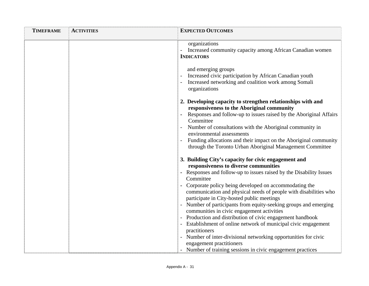| organizations<br><b>INDICATORS</b>   | <b>EXPECTED OUTCOMES</b>                                                                                                                                                                                                                                                                                                                                                                                                                                                                                                                                                                                                                                                                  |
|--------------------------------------|-------------------------------------------------------------------------------------------------------------------------------------------------------------------------------------------------------------------------------------------------------------------------------------------------------------------------------------------------------------------------------------------------------------------------------------------------------------------------------------------------------------------------------------------------------------------------------------------------------------------------------------------------------------------------------------------|
|                                      | Increased community capacity among African Canadian women                                                                                                                                                                                                                                                                                                                                                                                                                                                                                                                                                                                                                                 |
| and emerging groups<br>organizations | Increased civic participation by African Canadian youth<br>Increased networking and coalition work among Somali                                                                                                                                                                                                                                                                                                                                                                                                                                                                                                                                                                           |
| Committee                            | 2. Developing capacity to strengthen relationships with and<br>responsiveness to the Aboriginal community<br>Responses and follow-up to issues raised by the Aboriginal Affairs<br>Number of consultations with the Aboriginal community in<br>environmental assessments<br>Funding allocations and their impact on the Aboriginal community<br>through the Toronto Urban Aboriginal Management Committee                                                                                                                                                                                                                                                                                 |
| Committee<br>practitioners           | 3. Building City's capacity for civic engagement and<br>responsiveness to diverse communities<br>- Responses and follow-up to issues raised by the Disability Issues<br>Corporate policy being developed on accommodating the<br>communication and physical needs of people with disabilities who<br>participate in City-hosted public meetings<br>Number of participants from equity-seeking groups and emerging<br>communities in civic engagement activities<br>Production and distribution of civic engagement handbook<br>Establishment of online network of municipal civic engagement<br>Number of inter-divisional networking opportunities for civic<br>engagement practitioners |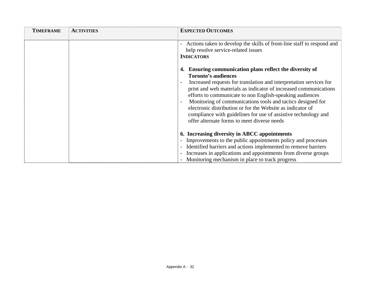| <b>TIMEFRAME</b> | <b>ACTIVITIES</b> | <b>EXPECTED OUTCOMES</b>                                                                                                                                                                                                                                                                                                                                                                                                                                                                                                                                                                                                                                                              |
|------------------|-------------------|---------------------------------------------------------------------------------------------------------------------------------------------------------------------------------------------------------------------------------------------------------------------------------------------------------------------------------------------------------------------------------------------------------------------------------------------------------------------------------------------------------------------------------------------------------------------------------------------------------------------------------------------------------------------------------------|
|                  |                   | - Actions taken to develop the skills of front-line staff to respond and<br>help resolve service-related issues<br><b>INDICATORS</b><br>Ensuring communication plans reflect the diversity of<br>4.<br><b>Toronto's audiences</b><br>Increased requests for translation and interpretation services for<br>print and web materials as indicator of increased communications<br>efforts to communicate to non English-speaking audiences<br>Monitoring of communications tools and tactics designed for<br>electronic distribution or for the Website as indicator of<br>compliance with guidelines for use of assistive technology and<br>offer alternate forms to meet diverse needs |
|                  |                   | 6. Increasing diversity in ABCC appointments<br>Improvements to the public appointments policy and processes<br>Identified barriers and actions implemented to remove barriers<br>Increases in applications and appointments from diverse groups<br>- Monitoring mechanism in place to track progress                                                                                                                                                                                                                                                                                                                                                                                 |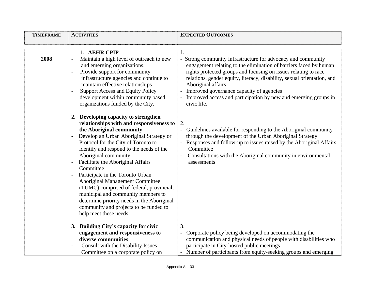| <b>TIMEFRAME</b> | <b>ACTIVITIES</b>                                                                                                                                                                                                                                                                                                                                                                                                                                                                                                                                                                                                       | <b>EXPECTED OUTCOMES</b>                                                                                                                                                                                                                                                                                                                                                                                                                    |
|------------------|-------------------------------------------------------------------------------------------------------------------------------------------------------------------------------------------------------------------------------------------------------------------------------------------------------------------------------------------------------------------------------------------------------------------------------------------------------------------------------------------------------------------------------------------------------------------------------------------------------------------------|---------------------------------------------------------------------------------------------------------------------------------------------------------------------------------------------------------------------------------------------------------------------------------------------------------------------------------------------------------------------------------------------------------------------------------------------|
|                  |                                                                                                                                                                                                                                                                                                                                                                                                                                                                                                                                                                                                                         |                                                                                                                                                                                                                                                                                                                                                                                                                                             |
| 2008             | 1. AEHR CPIP<br>Maintain a high level of outreach to new<br>and emerging organizations.<br>Provide support for community<br>infrastructure agencies and continue to<br>maintain effective relationships<br><b>Support Access and Equity Policy</b><br>development within community based<br>organizations funded by the City.                                                                                                                                                                                                                                                                                           | 1.<br>- Strong community infrastructure for advocacy and community<br>engagement relating to the elimination of barriers faced by human<br>rights protected groups and focusing on issues relating to race<br>relations, gender equity, literacy, disability, sexual orientation, and<br>Aboriginal affairs<br>Improved governance capacity of agencies<br>- Improved access and participation by new and emerging groups in<br>civic life. |
|                  | 2. Developing capacity to strengthen<br>relationships with and responsiveness to<br>the Aboriginal community<br>Develop an Urban Aboriginal Strategy or<br>Protocol for the City of Toronto to<br>identify and respond to the needs of the<br>Aboriginal community<br>Facilitate the Aboriginal Affairs<br>$\blacksquare$<br>Committee<br>Participate in the Toronto Urban<br><b>Aboriginal Management Committee</b><br>(TUMC) comprised of federal, provincial,<br>municipal and community members to<br>determine priority needs in the Aboriginal<br>community and projects to be funded to<br>help meet these needs | 2.<br>- Guidelines available for responding to the Aboriginal community<br>through the development of the Urban Aboriginal Strategy<br>- Responses and follow-up to issues raised by the Aboriginal Affairs<br>Committee<br>Consultations with the Aboriginal community in environmental<br>assessments                                                                                                                                     |
|                  | 3. Building City's capacity for civic<br>engagement and responsiveness to                                                                                                                                                                                                                                                                                                                                                                                                                                                                                                                                               | 3.<br>- Corporate policy being developed on accommodating the                                                                                                                                                                                                                                                                                                                                                                               |
|                  | diverse communities                                                                                                                                                                                                                                                                                                                                                                                                                                                                                                                                                                                                     | communication and physical needs of people with disabilities who                                                                                                                                                                                                                                                                                                                                                                            |
|                  | Consult with the Disability Issues                                                                                                                                                                                                                                                                                                                                                                                                                                                                                                                                                                                      | participate in City-hosted public meetings                                                                                                                                                                                                                                                                                                                                                                                                  |
|                  | Committee on a corporate policy on                                                                                                                                                                                                                                                                                                                                                                                                                                                                                                                                                                                      | - Number of participants from equity-seeking groups and emerging                                                                                                                                                                                                                                                                                                                                                                            |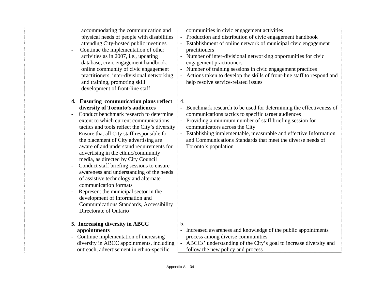| $\blacksquare$           | accommodating the communication and<br>physical needs of people with disabilities<br>attending City-hosted public meetings<br>Continue the implementation of other<br>activities as in 2007, i.e., updating<br>database, civic engagement handbook,<br>online community of civic engagement<br>practitioners, inter-divisional networking<br>and training, promoting skill<br>development of front-line staff                                                                                                                                                                                                                                                                                                                                        | communities in civic engagement activities<br>- Production and distribution of civic engagement handbook<br>- Establishment of online network of municipal civic engagement<br>practitioners<br>- Number of inter-divisional networking opportunities for civic<br>engagement practitioners<br>- Number of training sessions in civic engagement practices<br>- Actions taken to develop the skills of front-line staff to respond and<br>help resolve service-related issues |
|--------------------------|------------------------------------------------------------------------------------------------------------------------------------------------------------------------------------------------------------------------------------------------------------------------------------------------------------------------------------------------------------------------------------------------------------------------------------------------------------------------------------------------------------------------------------------------------------------------------------------------------------------------------------------------------------------------------------------------------------------------------------------------------|-------------------------------------------------------------------------------------------------------------------------------------------------------------------------------------------------------------------------------------------------------------------------------------------------------------------------------------------------------------------------------------------------------------------------------------------------------------------------------|
| $\overline{\phantom{a}}$ | 4. Ensuring communication plans reflect<br>diversity of Toronto's audiences<br>Conduct benchmark research to determine<br>extent to which current communications<br>tactics and tools reflect the City's diversity<br>Ensure that all City staff responsible for<br>the placement of City advertising are<br>aware of and understand requirements for<br>advertising in the ethnic/community<br>media, as directed by City Council<br>Conduct staff briefing sessions to ensure<br>awareness and understanding of the needs<br>of assistive technology and alternate<br>communication formats<br>Represent the municipal sector in the<br>development of Information and<br><b>Communications Standards, Accessibility</b><br>Directorate of Ontario | $\overline{4}$ .<br>- Benchmark research to be used for determining the effectiveness of<br>communications tactics to specific target audiences<br>- Providing a minimum number of staff briefing session for<br>communicators across the City<br>- Establishing implementable, measurable and effective Information<br>and Communications Standards that meet the diverse needs of<br>Toronto's population                                                                   |
|                          | 5. Increasing diversity in ABCC<br>appointments<br>- Continue implementation of increasing<br>diversity in ABCC appointments, including<br>outreach, advertisement in ethno-specific                                                                                                                                                                                                                                                                                                                                                                                                                                                                                                                                                                 | 5.<br>- Increased awareness and knowledge of the public appointments<br>process among diverse communities<br>- ABCCs' understanding of the City's goal to increase diversity and<br>follow the new policy and process                                                                                                                                                                                                                                                         |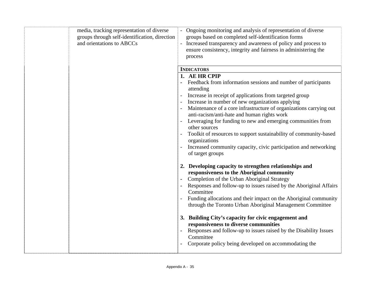| media, tracking representation of diverse<br>groups through self-identification, direction<br>and orientations to ABCCs | - Ongoing monitoring and analysis of representation of diverse<br>groups based on completed self-identification forms<br>- Increased transparency and awareness of policy and process to<br>ensure consistency, integrity and fairness in administering the<br>process                                                                                                                                                                                                                                                                                                                                              |
|-------------------------------------------------------------------------------------------------------------------------|---------------------------------------------------------------------------------------------------------------------------------------------------------------------------------------------------------------------------------------------------------------------------------------------------------------------------------------------------------------------------------------------------------------------------------------------------------------------------------------------------------------------------------------------------------------------------------------------------------------------|
|                                                                                                                         | <b>INDICATORS</b>                                                                                                                                                                                                                                                                                                                                                                                                                                                                                                                                                                                                   |
|                                                                                                                         | 1. AE HR CPIP<br>Feedback from information sessions and number of participants<br>attending<br>Increase in receipt of applications from targeted group<br>Increase in number of new organizations applying<br>Maintenance of a core infrastructure of organizations carrying out<br>anti-racism/anti-hate and human rights work<br>Leveraging for funding to new and emerging communities from<br>other sources<br>Toolkit of resources to support sustainability of community-based<br>organizations<br>Increased community capacity, civic participation and networking<br>of target groups                       |
|                                                                                                                         | 2. Developing capacity to strengthen relationships and<br>responsiveness to the Aboriginal community<br>Completion of the Urban Aboriginal Strategy<br>Responses and follow-up to issues raised by the Aboriginal Affairs<br>Committee<br>Funding allocations and their impact on the Aboriginal community<br>through the Toronto Urban Aboriginal Management Committee<br>3. Building City's capacity for civic engagement and<br>responsiveness to diverse communities<br>Responses and follow-up to issues raised by the Disability Issues<br>Committee<br>Corporate policy being developed on accommodating the |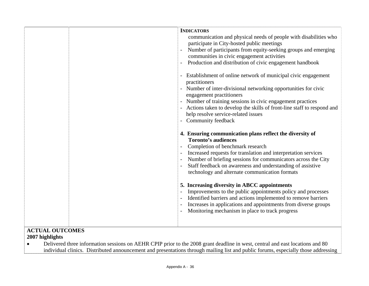|  | <b>INDICATORS</b><br>communication and physical needs of people with disabilities who<br>participate in City-hosted public meetings<br>Number of participants from equity-seeking groups and emerging<br>communities in civic engagement activities<br>Production and distribution of civic engagement handbook<br>- Establishment of online network of municipal civic engagement<br>practitioners<br>- Number of inter-divisional networking opportunities for civic<br>engagement practitioners<br>- Number of training sessions in civic engagement practices<br>- Actions taken to develop the skills of front-line staff to respond and<br>help resolve service-related issues<br>- Community feedback<br>4. Ensuring communication plans reflect the diversity of<br><b>Toronto's audiences</b><br>Completion of benchmark research<br>Increased requests for translation and interpretation services<br>Number of briefing sessions for communicators across the City<br>Staff feedback on awareness and understanding of assistive<br>technology and alternate communication formats<br>5. Increasing diversity in ABCC appointments<br>Improvements to the public appointments policy and processes<br>Identified barriers and actions implemented to remove barriers<br>Increases in applications and appointments from diverse groups<br>Monitoring mechanism in place to track progress |
|--|------------------------------------------------------------------------------------------------------------------------------------------------------------------------------------------------------------------------------------------------------------------------------------------------------------------------------------------------------------------------------------------------------------------------------------------------------------------------------------------------------------------------------------------------------------------------------------------------------------------------------------------------------------------------------------------------------------------------------------------------------------------------------------------------------------------------------------------------------------------------------------------------------------------------------------------------------------------------------------------------------------------------------------------------------------------------------------------------------------------------------------------------------------------------------------------------------------------------------------------------------------------------------------------------------------------------------------------------------------------------------------------------------|
|  |                                                                                                                                                                                                                                                                                                                                                                                                                                                                                                                                                                                                                                                                                                                                                                                                                                                                                                                                                                                                                                                                                                                                                                                                                                                                                                                                                                                                      |

### **ACTUAL OUTCOMES**

### **2007 highlights**

• Delivered three information sessions on AEHR CPIP prior to the 2008 grant deadline in west, central and east locations and 80 individual clinics. Distributed announcement and presentations through mailing list and public forums, especially those addressing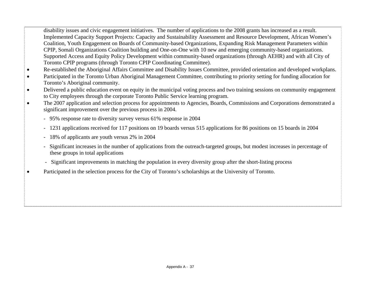- disability issues and civic engagement initiatives. The number of applications to the 2008 grants has increased as a result. Implemented Capacity Support Projects: Capacity and Sustainability Assessment and Resource Development, African Women's Coalition, Youth Engagement on Boards of Community-based Organizations, Expanding Risk Management Parameters within CPIP, Somali Organizations Coalition building and One-on-One with 10 new and emerging community-based organizations. Supported Access and Equity Policy Development within community-based organizations (through AEHR) and with all City of Toronto CPIP programs (through Toronto CPIP Coordinating Committee).
- •Re-established the Aboriginal Affairs Committee and Disability Issues Committee, provided orientation and developed workplans.
- • Participated in the Toronto Urban Aboriginal Management Committee, contributing to priority setting for funding allocation for Toronto's Aboriginal community.
- • Delivered a public education event on equity in the municipal voting process and two training sessions on community engagement to City employees through the corporate Toronto Public Service learning program.
- • The 2007 application and selection process for appointments to Agencies, Boards, Commissions and Corporations demonstrated a significant improvement over the previous process in 2004.
	- 95% response rate to diversity survey versus 61% response in 2004
	- 1231 applications received for 117 positions on 19 boards versus 515 applications for 86 positions on 15 boards in 2004
	- 18% of applicants are youth versus 2% in 2004

•

- Significant increases in the number of applications from the outreach-targeted groups, but modest increases in percentage of these groups in total applications
- Significant improvements in matching the population in every diversity group after the short-listing process
- Participated in the selection process for the City of Toronto's scholarships at the University of Toronto.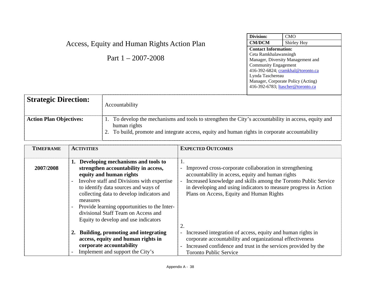| Division:                         | CMO                                |
|-----------------------------------|------------------------------------|
| <b>CM/DCM</b>                     | Shirley Hoy                        |
| <b>Contact Information:</b>       |                                    |
| Ceta Ramkhalawansingh             |                                    |
|                                   | Manager, Diversity Management and  |
| <b>Community Engagement</b>       |                                    |
| 416-392-6824; cramkhal@toronto.ca |                                    |
| Lynda Taschereau                  |                                    |
|                                   | Manager, Corporate Policy (Acting) |
| 416-392-6783; ltascher@toronto.ca |                                    |
|                                   |                                    |

## Access, Equity and Human Rights Action Plan

Part 1 – 2007-2008

| <b>Strategic Direction:</b>    | Accountability                                                                                                                                                                                                         |
|--------------------------------|------------------------------------------------------------------------------------------------------------------------------------------------------------------------------------------------------------------------|
| <b>Action Plan Objectives:</b> | 1. To develop the mechanisms and tools to strengthen the City's accountability in access, equity and<br>human rights<br>2. To build, promote and integrate access, equity and human rights in corporate accountability |

| <b>TIMEFRAME</b> | <b>ACTIVITIES</b>                                                                                                                                                                                                                                                                                                                                                                                                                              | <b>EXPECTED OUTCOMES</b>                                                                                                                                                                                                                                                                                                          |
|------------------|------------------------------------------------------------------------------------------------------------------------------------------------------------------------------------------------------------------------------------------------------------------------------------------------------------------------------------------------------------------------------------------------------------------------------------------------|-----------------------------------------------------------------------------------------------------------------------------------------------------------------------------------------------------------------------------------------------------------------------------------------------------------------------------------|
| 2007/2008        | 1. Developing mechanisms and tools to<br>strengthen accountability in access,<br>equity and human rights<br>Involve staff and Divisions with expertise<br>$\overline{\phantom{a}}$<br>to identify data sources and ways of<br>collecting data to develop indicators and<br>measures<br>Provide learning opportunities to the Inter-<br>$\overline{\phantom{a}}$<br>divisional Staff Team on Access and<br>Equity to develop and use indicators | 1.<br>Improved cross-corporate collaboration in strengthening<br>accountability in access, equity and human rights<br>Increased knowledge and skills among the Toronto Public Service<br>$\overline{\phantom{0}}$<br>in developing and using indicators to measure progress in Action<br>Plans on Access, Equity and Human Rights |
|                  | 2. Building, promoting and integrating<br>access, equity and human rights in<br>corporate accountability<br>Implement and support the City's<br>$\overline{\phantom{a}}$                                                                                                                                                                                                                                                                       | Increased integration of access, equity and human rights in<br>$\sim$<br>corporate accountability and organizational effectiveness<br>Increased confidence and trust in the services provided by the<br>$\overline{\phantom{0}}$<br><b>Toronto Public Service</b>                                                                 |